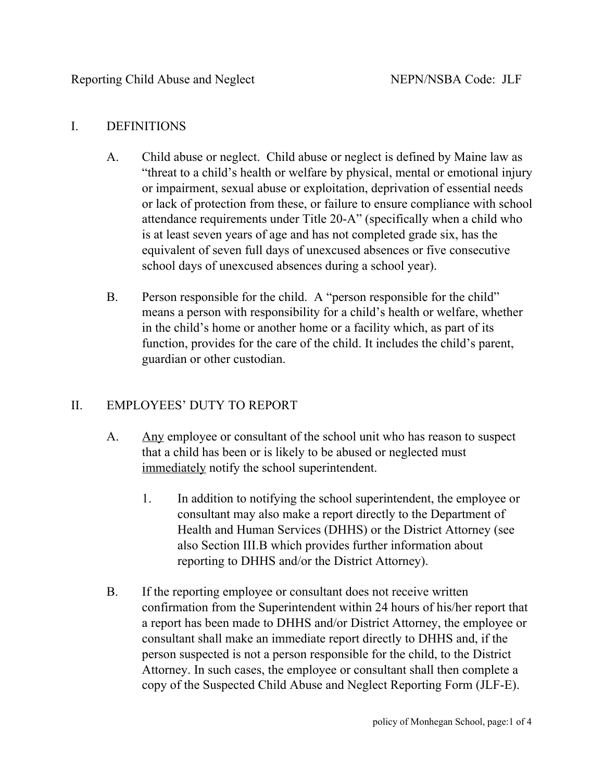### I. DEFINITIONS

- A. Child abuse or neglect. Child abuse or neglect is defined by Maine law as "threat to a child's health or welfare by physical, mental or emotional injury or impairment, sexual abuse or exploitation, deprivation of essential needs or lack of protection from these, or failure to ensure compliance with school attendance requirements under Title 20-A" (specifically when a child who is at least seven years of age and has not completed grade six, has the equivalent of seven full days of unexcused absences or five consecutive school days of unexcused absences during a school year).
- B. Person responsible for the child. A "person responsible for the child" means a person with responsibility for a child's health or welfare, whether in the child's home or another home or a facility which, as part of its function, provides for the care of the child. It includes the child's parent, guardian or other custodian.

# II. EMPLOYEES' DUTY TO REPORT

- A. Any employee or consultant of the school unit who has reason to suspect that a child has been or is likely to be abused or neglected must immediately notify the school superintendent.
	- 1. In addition to notifying the school superintendent, the employee or consultant may also make a report directly to the Department of Health and Human Services (DHHS) or the District Attorney (see also Section III.B which provides further information about reporting to DHHS and/or the District Attorney).
- B. If the reporting employee or consultant does not receive written confirmation from the Superintendent within 24 hours of his/her report that a report has been made to DHHS and/or District Attorney, the employee or consultant shall make an immediate report directly to DHHS and, if the person suspected is not a person responsible for the child, to the District Attorney. In such cases, the employee or consultant shall then complete a copy of the Suspected Child Abuse and Neglect Reporting Form (JLF-E).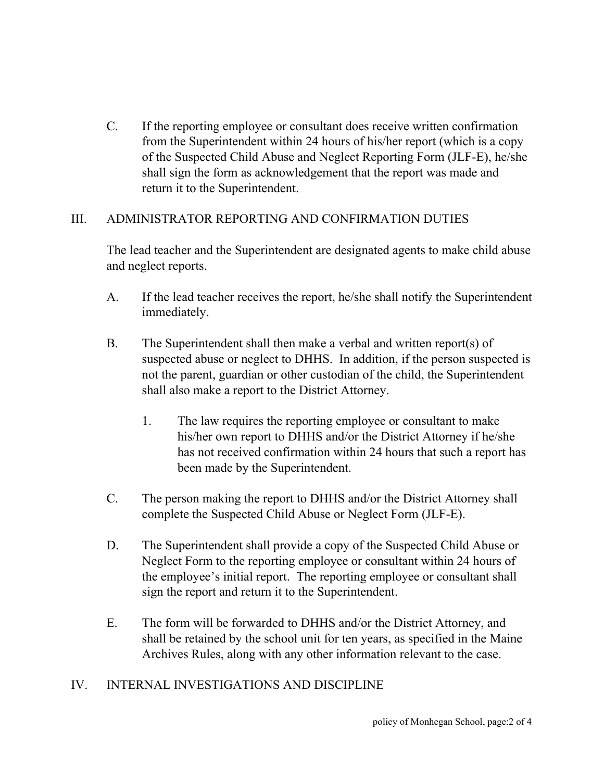C. If the reporting employee or consultant does receive written confirmation from the Superintendent within 24 hours of his/her report (which is a copy of the Suspected Child Abuse and Neglect Reporting Form (JLF-E), he/she shall sign the form as acknowledgement that the report was made and return it to the Superintendent.

### III. ADMINISTRATOR REPORTING AND CONFIRMATION DUTIES

The lead teacher and the Superintendent are designated agents to make child abuse and neglect reports.

- A. If the lead teacher receives the report, he/she shall notify the Superintendent immediately.
- B. The Superintendent shall then make a verbal and written report(s) of suspected abuse or neglect to DHHS. In addition, if the person suspected is not the parent, guardian or other custodian of the child, the Superintendent shall also make a report to the District Attorney.
	- 1. The law requires the reporting employee or consultant to make his/her own report to DHHS and/or the District Attorney if he/she has not received confirmation within 24 hours that such a report has been made by the Superintendent.
- C. The person making the report to DHHS and/or the District Attorney shall complete the Suspected Child Abuse or Neglect Form (JLF-E).
- D. The Superintendent shall provide a copy of the Suspected Child Abuse or Neglect Form to the reporting employee or consultant within 24 hours of the employee's initial report. The reporting employee or consultant shall sign the report and return it to the Superintendent.
- E. The form will be forwarded to DHHS and/or the District Attorney, and shall be retained by the school unit for ten years, as specified in the Maine Archives Rules, along with any other information relevant to the case.

# IV. INTERNAL INVESTIGATIONS AND DISCIPLINE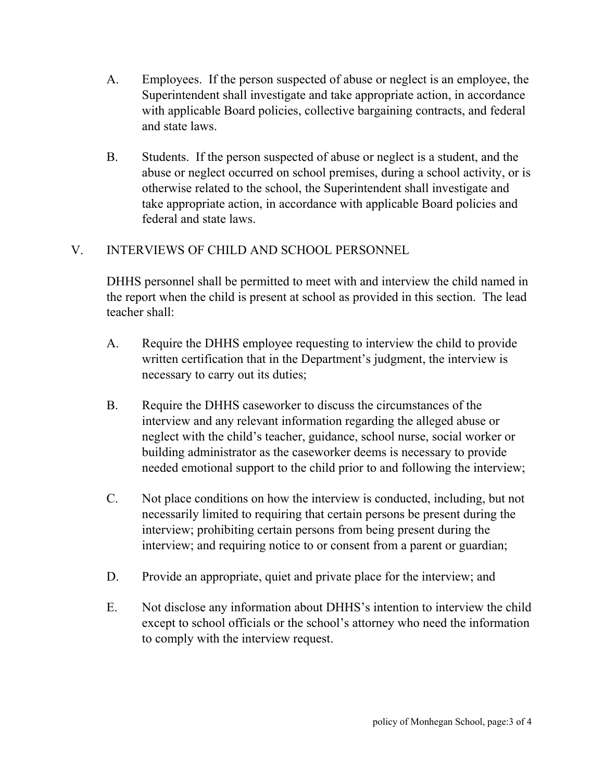- A. Employees. If the person suspected of abuse or neglect is an employee, the Superintendent shall investigate and take appropriate action, in accordance with applicable Board policies, collective bargaining contracts, and federal and state laws.
- B. Students. If the person suspected of abuse or neglect is a student, and the abuse or neglect occurred on school premises, during a school activity, or is otherwise related to the school, the Superintendent shall investigate and take appropriate action, in accordance with applicable Board policies and federal and state laws.

# V. INTERVIEWS OF CHILD AND SCHOOL PERSONNEL

DHHS personnel shall be permitted to meet with and interview the child named in the report when the child is present at school as provided in this section. The lead teacher shall:

- A. Require the DHHS employee requesting to interview the child to provide written certification that in the Department's judgment, the interview is necessary to carry out its duties;
- B. Require the DHHS caseworker to discuss the circumstances of the interview and any relevant information regarding the alleged abuse or neglect with the child's teacher, guidance, school nurse, social worker or building administrator as the caseworker deems is necessary to provide needed emotional support to the child prior to and following the interview;
- C. Not place conditions on how the interview is conducted, including, but not necessarily limited to requiring that certain persons be present during the interview; prohibiting certain persons from being present during the interview; and requiring notice to or consent from a parent or guardian;
- D. Provide an appropriate, quiet and private place for the interview; and
- E. Not disclose any information about DHHS's intention to interview the child except to school officials or the school's attorney who need the information to comply with the interview request.